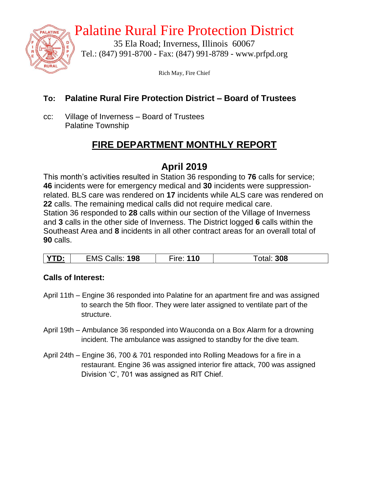

## Palatine Rural Fire Protection District

35 Ela Road; Inverness, Illinois 60067 Tel.: (847) 991-8700 - Fax: (847) 991-8789 - www.prfpd.org

Rich May, Fire Chief

#### **To: Palatine Rural Fire Protection District – Board of Trustees**

cc: Village of Inverness – Board of Trustees Palatine Township

## **FIRE DEPARTMENT MONTHLY REPORT**

## **April 2019**

This month's activities resulted in Station 36 responding to **76** calls for service; **46** incidents were for emergency medical and **30** incidents were suppressionrelated. BLS care was rendered on **17** incidents while ALS care was rendered on **22** calls. The remaining medical calls did not require medical care. Station 36 responded to **28** calls within our section of the Village of Inverness and **3** calls in the other side of Inverness. The District logged **6** calls within the Southeast Area and **8** incidents in all other contract areas for an overall total of **90** calls.

| VTC<br>198<br>alls.<br>EMS | 10 | 308 |
|----------------------------|----|-----|
|----------------------------|----|-----|

#### **Calls of Interest:**

- April 11th Engine 36 responded into Palatine for an apartment fire and was assigned to search the 5th floor. They were later assigned to ventilate part of the structure.
- April 19th Ambulance 36 responded into Wauconda on a Box Alarm for a drowning incident. The ambulance was assigned to standby for the dive team.
- April 24th Engine 36, 700 & 701 responded into Rolling Meadows for a fire in a restaurant. Engine 36 was assigned interior fire attack, 700 was assigned Division 'C', 701 was assigned as RIT Chief.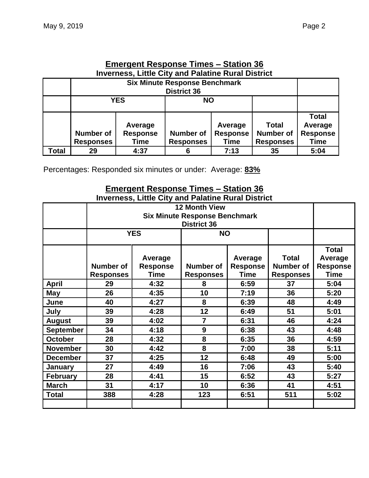|                                                           | Emergent Response Times – Station 36                                       |                         |                    |              |                  |                 |  |  |  |
|-----------------------------------------------------------|----------------------------------------------------------------------------|-------------------------|--------------------|--------------|------------------|-----------------|--|--|--|
| <b>Inverness, Little City and Palatine Rural District</b> |                                                                            |                         |                    |              |                  |                 |  |  |  |
|                                                           | <b>Six Minute Response Benchmark</b>                                       |                         |                    |              |                  |                 |  |  |  |
|                                                           |                                                                            |                         | <b>District 36</b> |              |                  |                 |  |  |  |
|                                                           |                                                                            | <b>YES</b><br><b>NO</b> |                    |              |                  |                 |  |  |  |
|                                                           |                                                                            |                         |                    |              |                  |                 |  |  |  |
|                                                           |                                                                            |                         |                    |              |                  | <b>Total</b>    |  |  |  |
|                                                           |                                                                            | Average                 |                    | <b>Total</b> | Average          |                 |  |  |  |
|                                                           | <b>Number of</b><br><b>Number of</b><br><b>Response</b><br><b>Response</b> |                         |                    |              | <b>Number of</b> | <b>Response</b> |  |  |  |
|                                                           | <b>Responses</b>                                                           | Time                    | <b>Responses</b>   | Time         |                  |                 |  |  |  |
| Total                                                     | 29                                                                         | 4:37                    | 6                  | 7:13         | 35               | 5:04            |  |  |  |

# **Emergent Response Times – Station 36**

Percentages: Responded six minutes or under: Average: **83%**

#### **Emergent Response Times – Station 36 Inverness, Little City and Palatine Rural District**

|                  | <b>12 Month View</b><br><b>Six Minute Response Benchmark</b>                                                                                                    |                    |                |      |                                                      |                                                           |  |
|------------------|-----------------------------------------------------------------------------------------------------------------------------------------------------------------|--------------------|----------------|------|------------------------------------------------------|-----------------------------------------------------------|--|
|                  |                                                                                                                                                                 |                    |                |      |                                                      |                                                           |  |
|                  |                                                                                                                                                                 | <b>YES</b>         | <b>NO</b>      |      |                                                      |                                                           |  |
|                  | Average<br>Average<br><b>Number of</b><br><b>Response</b><br>Number of<br><b>Response</b><br><b>Time</b><br><b>Time</b><br><b>Responses</b><br><b>Responses</b> |                    |                |      | <b>Total</b><br><b>Number of</b><br><b>Responses</b> | <b>Total</b><br>Average<br><b>Response</b><br><b>Time</b> |  |
| <b>April</b>     | 29                                                                                                                                                              | 4:32               | 8              | 6:59 | 37                                                   | 5:04                                                      |  |
| <b>May</b>       | 26                                                                                                                                                              | 4:35<br>10<br>7:19 |                | 36   | 5:20                                                 |                                                           |  |
| June             | 40                                                                                                                                                              | 4:27               | 8<br>6:39      |      | 48                                                   | 4:49                                                      |  |
| July             | 12<br>39<br>4:28                                                                                                                                                |                    |                | 6:49 | 51                                                   | 5:01                                                      |  |
| <b>August</b>    | 39<br>4:02                                                                                                                                                      |                    | $\overline{7}$ | 6:31 | 46                                                   | 4:24                                                      |  |
| <b>September</b> | 34                                                                                                                                                              | 4:18               | 9              | 6:38 | 43                                                   | 4:48                                                      |  |
| <b>October</b>   | 28                                                                                                                                                              | 4:32               | 8              | 6:35 | 36                                                   | 4:59                                                      |  |
| <b>November</b>  | 30                                                                                                                                                              | 4:42               | 8              | 7:00 | 38                                                   | 5:11                                                      |  |
| <b>December</b>  | 37<br>12<br>4:25<br>6:48                                                                                                                                        |                    | 49             | 5:00 |                                                      |                                                           |  |
| January          | 27<br>4:49<br>16<br>7:06                                                                                                                                        |                    | 43             | 5:40 |                                                      |                                                           |  |
| <b>February</b>  | 28                                                                                                                                                              | 15<br>4:41<br>6:52 |                | 43   | 5:27                                                 |                                                           |  |
| <b>March</b>     | 31                                                                                                                                                              | 4:17               | 10             | 6:36 | 41                                                   | 4:51                                                      |  |
| <b>Total</b>     | 388                                                                                                                                                             | 4:28               | 123            | 6:51 | 511                                                  | 5:02                                                      |  |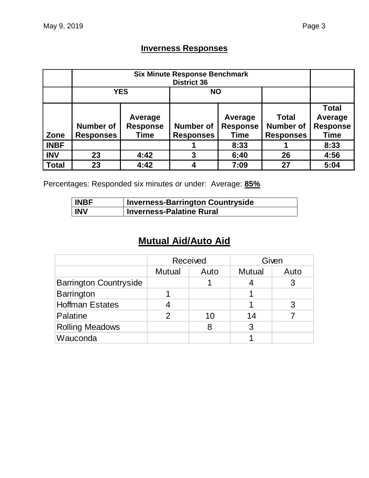## **Inverness Responses**

|              |                  | <b>YES</b>      |                  |                 |                  |                 |
|--------------|------------------|-----------------|------------------|-----------------|------------------|-----------------|
|              |                  |                 |                  |                 | <b>Total</b>     | <b>Total</b>    |
|              |                  | Average         |                  | Average         |                  | Average         |
|              | <b>Number of</b> | <b>Response</b> | <b>Number of</b> | <b>Response</b> |                  | <b>Response</b> |
| Zone         | <b>Responses</b> | <b>Time</b>     | <b>Responses</b> | <b>Time</b>     | <b>Responses</b> | <b>Time</b>     |
| <b>INBF</b>  |                  |                 |                  | 8:33            |                  | 8:33            |
| <b>INV</b>   | 23               | 4:42            | 3                | 26<br>6:40      |                  | 4:56            |
| <b>Total</b> | 23               | 4:42            |                  | 7:09            | 27               | 5:04            |

Percentages: Responded six minutes or under: Average: **85%**

| <b>INBF</b> | Inverness-Barrington Countryside |
|-------------|----------------------------------|
| <b>INV</b>  | <b>Inverness-Palatine Rural</b>  |

## **Mutual Aid/Auto Aid**

|                               | <b>Received</b> |      |               | Given |
|-------------------------------|-----------------|------|---------------|-------|
|                               | <b>Mutual</b>   | Auto | <b>Mutual</b> | Auto  |
| <b>Barrington Countryside</b> |                 |      |               |       |
| <b>Barrington</b>             |                 |      |               |       |
| <b>Hoffman Estates</b>        |                 |      |               |       |
| Palatine                      | 2               | 10   | 14            |       |
| <b>Rolling Meadows</b>        |                 | 8    | 3             |       |
| Wauconda                      |                 |      |               |       |